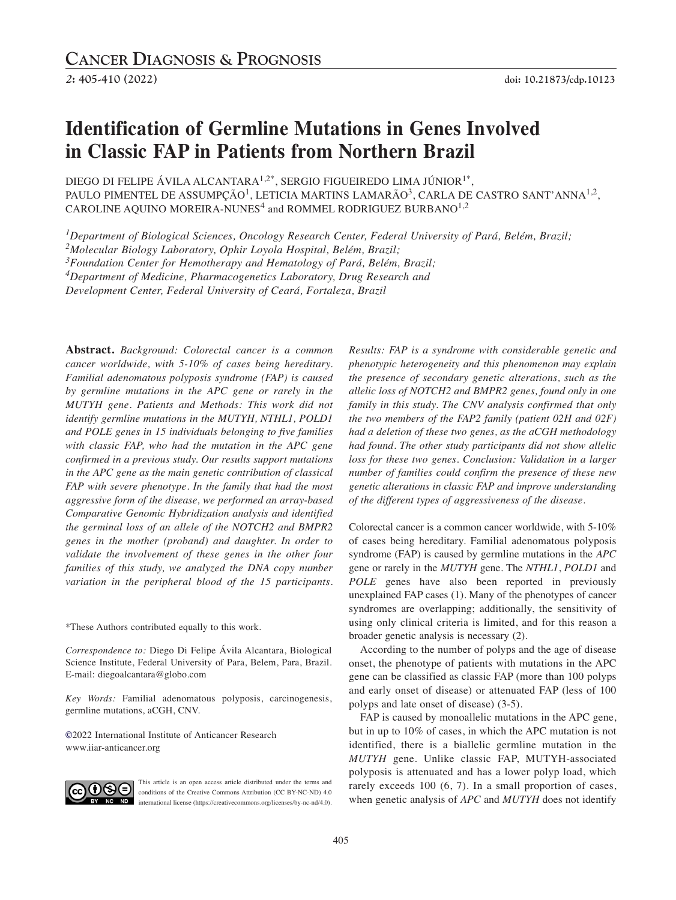# **Identification of Germline Mutations in Genes Involved in Classic FAP in Patients from Northern Brazil**

DIEGO DI FELIPE ÁVILA ALCANTARA<sup>1,2\*</sup>, SERGIO FIGUEIREDO LIMA JÚNIOR<sup>1\*</sup>, PAULO PIMENTEL DE ASSUMPCÃO<sup>1</sup>, LETICIA MARTINS LAMARÃO<sup>3</sup>, CARLA DE CASTRO SANT'ANNA<sup>1,2</sup>, CAROLINE AQUINO MOREIRA-NUNES<sup>4</sup> and ROMMEL RODRIGUEZ BURBANO<sup>1,2</sup>

*1Department of Biological Sciences, Oncology Research Center, Federal University of Pará, Belém, Brazil;*

*2Molecular Biology Laboratory, Ophir Loyola Hospital, Belém, Brazil;*

*3Foundation Center for Hemotherapy and Hematology of Pará, Belém, Brazil;*

*4Department of Medicine, Pharmacogenetics Laboratory, Drug Research and*

*Development Center, Federal University of Ceará, Fortaleza, Brazil*

**Abstract.** *Background: Colorectal cancer is a common cancer worldwide, with 5-10% of cases being hereditary. Familial adenomatous polyposis syndrome (FAP) is caused by germline mutations in the APC gene or rarely in the MUTYH gene. Patients and Methods: This work did not identify germline mutations in the MUTYH, NTHL1, POLD1 and POLE genes in 15 individuals belonging to five families with classic FAP, who had the mutation in the APC gene confirmed in a previous study. Our results support mutations in the APC gene as the main genetic contribution of classical FAP with severe phenotype. In the family that had the most aggressive form of the disease, we performed an array-based Comparative Genomic Hybridization analysis and identified the germinal loss of an allele of the NOTCH2 and BMPR2 genes in the mother (proband) and daughter. In order to validate the involvement of these genes in the other four families of this study, we analyzed the DNA copy number variation in the peripheral blood of the 15 participants.*

\*These Authors contributed equally to this work.

*Correspondence to:* Diego Di Felipe Ávila Alcantara, Biological Science Institute, Federal University of Para, Belem, Para, Brazil. E-mail: diegoalcantara@globo.com

*Key Words:* Familial adenomatous polyposis, carcinogenesis, germline mutations, aCGH, CNV.

**©**2022 International Institute of Anticancer Research www.iiar-anticancer.org



This article is an open access article distributed under the terms and conditions of the Creative Commons Attribution (CC BY-NC-ND) 4.0 international license (https://creativecommons.org/licenses/by-nc-nd/4.0).

*Results: FAP is a syndrome with considerable genetic and phenotypic heterogeneity and this phenomenon may explain the presence of secondary genetic alterations, such as the allelic loss of NOTCH2 and BMPR2 genes, found only in one family in this study. The CNV analysis confirmed that only the two members of the FAP2 family (patient 02H and 02F) had a deletion of these two genes, as the aCGH methodology had found. The other study participants did not show allelic loss for these two genes. Conclusion: Validation in a larger number of families could confirm the presence of these new genetic alterations in classic FAP and improve understanding of the different types of aggressiveness of the disease.*

Colorectal cancer is a common cancer worldwide, with 5-10% of cases being hereditary. Familial adenomatous polyposis syndrome (FAP) is caused by germline mutations in the *APC* gene or rarely in the *MUTYH* gene. The *NTHL1*, *POLD1* and *POLE* genes have also been reported in previously unexplained FAP cases (1). Many of the phenotypes of cancer syndromes are overlapping; additionally, the sensitivity of using only clinical criteria is limited, and for this reason a broader genetic analysis is necessary (2).

According to the number of polyps and the age of disease onset, the phenotype of patients with mutations in the APC gene can be classified as classic FAP (more than 100 polyps and early onset of disease) or attenuated FAP (less of 100 polyps and late onset of disease) (3-5).

FAP is caused by monoallelic mutations in the APC gene, but in up to 10% of cases, in which the APC mutation is not identified, there is a biallelic germline mutation in the *MUTYH* gene. Unlike classic FAP, MUTYH-associated polyposis is attenuated and has a lower polyp load, which rarely exceeds 100 (6, 7). In a small proportion of cases, when genetic analysis of *APC* and *MUTYH* does not identify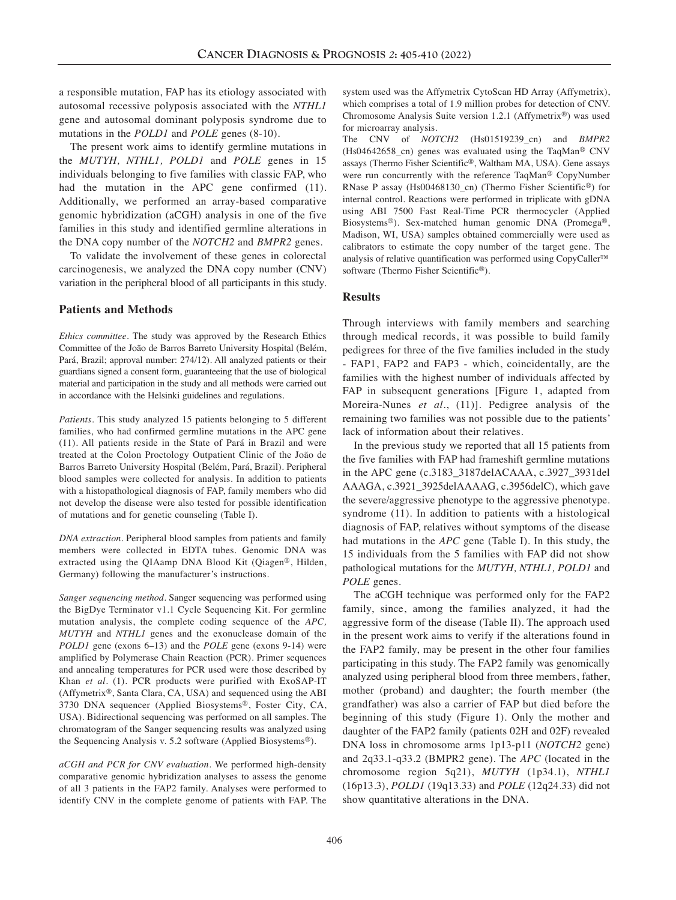a responsible mutation, FAP has its etiology associated with autosomal recessive polyposis associated with the *NTHL1* gene and autosomal dominant polyposis syndrome due to mutations in the *POLD1* and *POLE* genes (8-10).

The present work aims to identify germline mutations in the *MUTYH, NTHL1, POLD1* and *POLE* genes in 15 individuals belonging to five families with classic FAP, who had the mutation in the APC gene confirmed (11). Additionally, we performed an array-based comparative genomic hybridization (aCGH) analysis in one of the five families in this study and identified germline alterations in the DNA copy number of the *NOTCH2* and *BMPR2* genes.

To validate the involvement of these genes in colorectal carcinogenesis, we analyzed the DNA copy number (CNV) variation in the peripheral blood of all participants in this study.

#### **Patients and Methods**

*Ethics committee.* The study was approved by the Research Ethics Committee of the João de Barros Barreto University Hospital (Belém, Pará, Brazil; approval number: 274/12). All analyzed patients or their guardians signed a consent form, guaranteeing that the use of biological material and participation in the study and all methods were carried out in accordance with the Helsinki guidelines and regulations.

*Patients.* This study analyzed 15 patients belonging to 5 different families, who had confirmed germline mutations in the APC gene (11). All patients reside in the State of Pará in Brazil and were treated at the Colon Proctology Outpatient Clinic of the João de Barros Barreto University Hospital (Belém, Pará, Brazil). Peripheral blood samples were collected for analysis. In addition to patients with a histopathological diagnosis of FAP, family members who did not develop the disease were also tested for possible identification of mutations and for genetic counseling (Table I).

*DNA extraction.* Peripheral blood samples from patients and family members were collected in EDTA tubes. Genomic DNA was extracted using the QIAamp DNA Blood Kit (Qiagen®, Hilden, Germany) following the manufacturer's instructions.

*Sanger sequencing method.* Sanger sequencing was performed using the BigDye Terminator v1.1 Cycle Sequencing Kit. For germline mutation analysis, the complete coding sequence of the *APC, MUTYH* and *NTHL1* genes and the exonuclease domain of the *POLD1* gene (exons 6–13) and the *POLE* gene (exons 9-14) were amplified by Polymerase Chain Reaction (PCR). Primer sequences and annealing temperatures for PCR used were those described by Khan *et al.* (1). PCR products were purified with ExoSAP-IT (Affymetrix®, Santa Clara, CA, USA) and sequenced using the ABI 3730 DNA sequencer (Applied Biosystems®, Foster City, CA, USA). Bidirectional sequencing was performed on all samples. The chromatogram of the Sanger sequencing results was analyzed using the Sequencing Analysis v. 5.2 software (Applied Biosystems®).

*aCGH and PCR for CNV evaluation.* We performed high-density comparative genomic hybridization analyses to assess the genome of all 3 patients in the FAP2 family. Analyses were performed to identify CNV in the complete genome of patients with FAP. The system used was the Affymetrix CytoScan HD Array (Affymetrix), which comprises a total of 1.9 million probes for detection of CNV. Chromosome Analysis Suite version 1.2.1 (Affymetrix®) was used for microarray analysis.

The CNV of *NOTCH2* (Hs01519239\_cn) and *BMPR2* (Hs04642658\_cn) genes was evaluated using the TaqMan® CNV assays (Thermo Fisher Scientific®, Waltham MA, USA). Gene assays were run concurrently with the reference TaqMan® CopyNumber RNase P assay (Hs00468130\_cn) (Thermo Fisher Scientific®) for internal control. Reactions were performed in triplicate with gDNA using ABI 7500 Fast Real-Time PCR thermocycler (Applied Biosystems®). Sex-matched human genomic DNA (Promega®, Madison, WI, USA) samples obtained commercially were used as calibrators to estimate the copy number of the target gene. The analysis of relative quantification was performed using CopyCaller™ software (Thermo Fisher Scientific®).

#### **Results**

Through interviews with family members and searching through medical records, it was possible to build family pedigrees for three of the five families included in the study - FAP1, FAP2 and FAP3 - which, coincidentally, are the families with the highest number of individuals affected by FAP in subsequent generations [Figure 1, adapted from Moreira-Nunes *et al.*, (11)]. Pedigree analysis of the remaining two families was not possible due to the patients' lack of information about their relatives.

In the previous study we reported that all 15 patients from the five families with FAP had frameshift germline mutations in the APC gene (c.3183\_3187delACAAA, c.3927\_3931del AAAGA, c.3921\_3925delAAAAG, c.3956delC), which gave the severe/aggressive phenotype to the aggressive phenotype. syndrome (11). In addition to patients with a histological diagnosis of FAP, relatives without symptoms of the disease had mutations in the *APC* gene (Table I). In this study, the 15 individuals from the 5 families with FAP did not show pathological mutations for the *MUTYH, NTHL1, POLD1* and *POLE* genes.

The aCGH technique was performed only for the FAP2 family, since, among the families analyzed, it had the aggressive form of the disease (Table II). The approach used in the present work aims to verify if the alterations found in the FAP2 family, may be present in the other four families participating in this study. The FAP2 family was genomically analyzed using peripheral blood from three members, father, mother (proband) and daughter; the fourth member (the grandfather) was also a carrier of FAP but died before the beginning of this study (Figure 1). Only the mother and daughter of the FAP2 family (patients 02H and 02F) revealed DNA loss in chromosome arms 1p13-p11 (*NOTCH2* gene) and 2q33.1-q33.2 (BMPR2 gene). The *APC* (located in the chromosome region 5q21), *MUTYH* (1p34.1), *NTHL1* (16p13.3), *POLD1* (19q13.33) and *POLE* (12q24.33) did not show quantitative alterations in the DNA.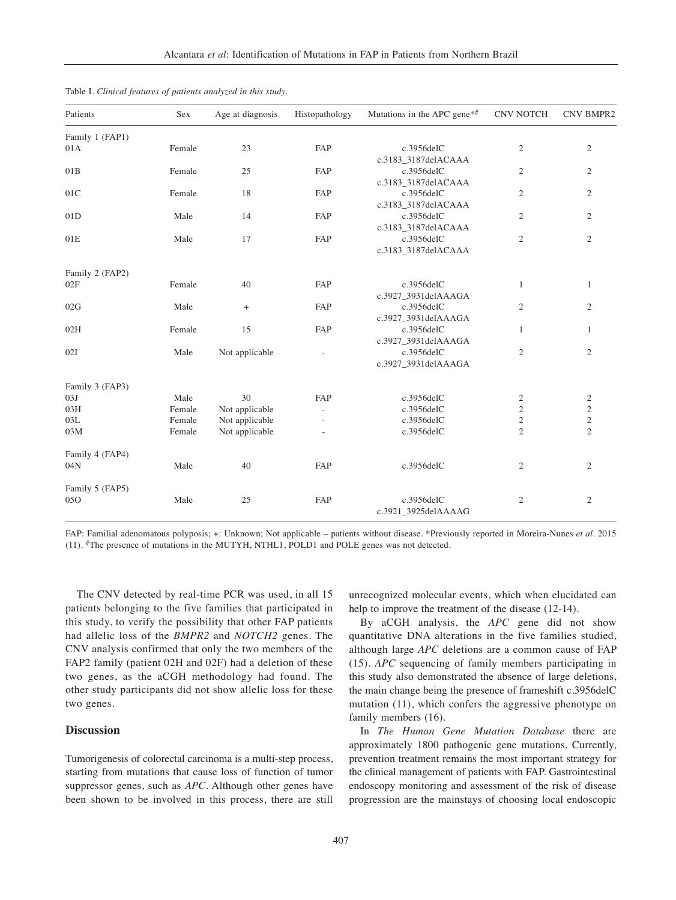| Patients        | Sex    | Age at diagnosis | Histopathology | Mutations in the APC gene <sup><math>*</math>#</sup> | <b>CNV NOTCH</b> | <b>CNV BMPR2</b> |  |
|-----------------|--------|------------------|----------------|------------------------------------------------------|------------------|------------------|--|
| Family 1 (FAP1) |        |                  |                |                                                      |                  |                  |  |
| 01A             | Female | 23               | FAP            | c.3956delC                                           | $\mathfrak{2}$   | $\overline{2}$   |  |
|                 |        |                  |                | c.3183_3187delACAAA                                  |                  |                  |  |
| 01B             | Female | 25               | FAP            | c.3956delC                                           | $\mathfrak{2}$   | $\overline{c}$   |  |
|                 |        |                  |                | c.3183_3187delACAAA                                  |                  |                  |  |
| 01C             | Female | 18               | FAP            | c.3956delC                                           | $\mathfrak{2}$   | $\overline{c}$   |  |
|                 |        |                  |                | c.3183_3187delACAAA                                  |                  |                  |  |
| 01D             | Male   | 14               | FAP            | c.3956delC                                           | $\mathfrak{2}$   | $\overline{c}$   |  |
|                 |        |                  |                | c.3183_3187delACAAA                                  |                  |                  |  |
| 01E             | Male   | 17               | FAP            | $c.3956$ del $C$                                     | $\overline{2}$   | $\overline{2}$   |  |
|                 |        |                  |                | c.3183_3187delACAAA                                  |                  |                  |  |
| Family 2 (FAP2) |        |                  |                |                                                      |                  |                  |  |
| 02F             | Female | 40               | FAP            | $c.3956$ del $C$                                     | 1                | $\mathbf{1}$     |  |
|                 |        |                  |                | c.3927_3931delAAAGA                                  |                  |                  |  |
| 02G             | Male   | $+$              | FAP            | c.3956delC                                           | $\mathfrak{2}$   | $\overline{c}$   |  |
|                 |        |                  |                | c.3927_3931delAAAGA                                  |                  |                  |  |
| 02H             | Female | 15               | FAP            | c.3956delC                                           | $\mathbf{1}$     | $\mathbf{1}$     |  |
|                 |        |                  |                | c.3927_3931delAAAGA                                  |                  |                  |  |
| 02I             | Male   | Not applicable   | ÷              | c.3956delC                                           | $\mathfrak{2}$   | $\overline{2}$   |  |
|                 |        |                  |                | c.3927_3931delAAAGA                                  |                  |                  |  |
| Family 3 (FAP3) |        |                  |                |                                                      |                  |                  |  |
| 03J             | Male   | 30               | FAP            | c.3956delC                                           | $\overline{c}$   | 2                |  |
| 03H             | Female | Not applicable   |                | c.3956delC                                           | $\mathfrak{2}$   | $\overline{c}$   |  |
| 03L             | Female | Not applicable   |                | c.3956delC                                           | $\sqrt{2}$       | $\overline{c}$   |  |
| 03M             | Female | Not applicable   |                | c.3956delC                                           | $\overline{2}$   | $\overline{2}$   |  |
| Family 4 (FAP4) |        |                  |                |                                                      |                  |                  |  |
| 04N             | Male   | 40               | FAP            | c.3956delC                                           | $\overline{c}$   | 2                |  |
| Family 5 (FAP5) |        |                  |                |                                                      |                  |                  |  |
| 05O             | Male   | 25               | FAP            | c.3956delC                                           | $\mathfrak{2}$   | $\overline{c}$   |  |
|                 |        |                  |                | c.3921_3925delAAAAG                                  |                  |                  |  |
|                 |        |                  |                |                                                      |                  |                  |  |

Table I. *Clinical features of patients analyzed in this study.*

FAP: Familial adenomatous polyposis; +: Unknown; Not applicable – patients without disease. \*Previously reported in Moreira-Nunes *et al.* 2015 (11). #The presence of mutations in the MUTYH, NTHL1, POLD1 and POLE genes was not detected.

The CNV detected by real-time PCR was used, in all 15 patients belonging to the five families that participated in this study, to verify the possibility that other FAP patients had allelic loss of the *BMPR2* and *NOTCH2* genes. The CNV analysis confirmed that only the two members of the FAP2 family (patient 02H and 02F) had a deletion of these two genes, as the aCGH methodology had found. The other study participants did not show allelic loss for these two genes.

## **Discussion**

Tumorigenesis of colorectal carcinoma is a multi-step process, starting from mutations that cause loss of function of tumor suppressor genes, such as *APC*. Although other genes have been shown to be involved in this process, there are still unrecognized molecular events, which when elucidated can help to improve the treatment of the disease  $(12-14)$ .

By aCGH analysis, the *APC* gene did not show quantitative DNA alterations in the five families studied, although large *APC* deletions are a common cause of FAP (15). *APC* sequencing of family members participating in this study also demonstrated the absence of large deletions, the main change being the presence of frameshift c.3956delC mutation (11), which confers the aggressive phenotype on family members (16).

In *The Human Gene Mutation Database* there are approximately 1800 pathogenic gene mutations. Currently, prevention treatment remains the most important strategy for the clinical management of patients with FAP. Gastrointestinal endoscopy monitoring and assessment of the risk of disease progression are the mainstays of choosing local endoscopic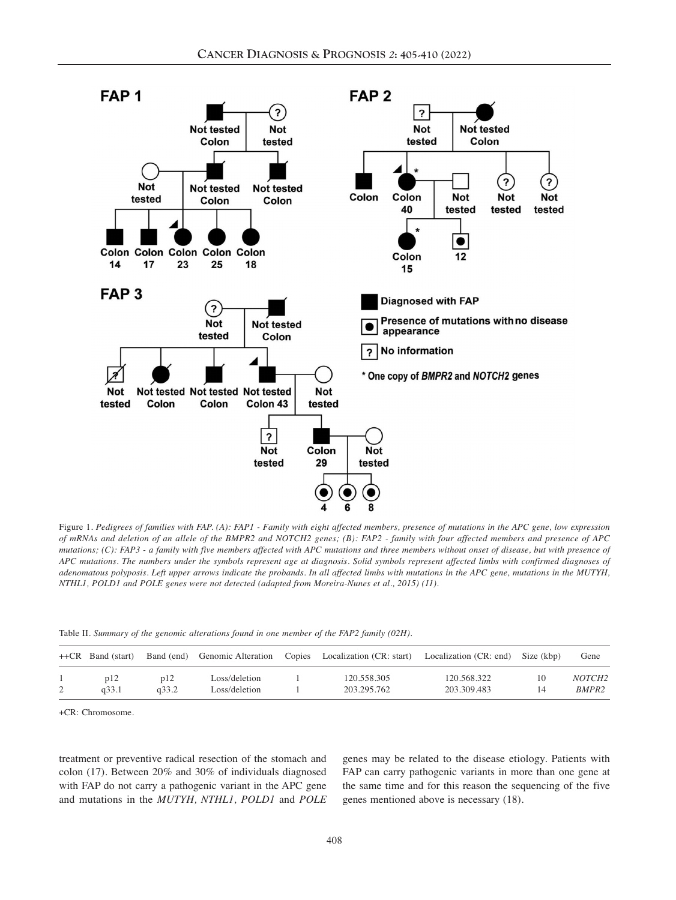

Figure 1. Pedigrees of families with FAP. (A): FAP1 - Family with eight affected members, presence of mutations in the APC gene, low expression of mRNAs and deletion of an allele of the BMPR2 and NOTCH2 genes; (B): FAP2 - family with four affected members and presence of APC mutations; (C): FAP3 - a family with five members affected with APC mutations and three members without onset of disease, but with presence of APC mutations. The numbers under the symbols represent age at diagnosis. Solid symbols represent affected limbs with confirmed diagnoses of adenomatous polyposis. Left upper arrows indicate the probands. In all affected limbs with mutations in the APC gene, mutations in the MUTYH, *NTHL1, POLD1 and POLE genes were not detected (adapted from Moreira-Nunes et al., 2015) (11).*

Table II. *Summary of the genomic alterations found in one member of the FAP2 family (02H).*

| $++CR$ Band (start) | Band (end) |               | Genomic Alteration Copies Localization (CR: start) | Localization (CR: end) | Size (kbp) | Gene              |
|---------------------|------------|---------------|----------------------------------------------------|------------------------|------------|-------------------|
| p12                 | p12        | Loss/deletion | 120.558.305                                        | 120.568.322            | 10         | <i>NOTCH2</i>     |
| a33.1               | a33.2      | Loss/deletion | 203.295.762                                        | 203.309.483            | 14         | BMPR <sub>2</sub> |

+CR: Chromosome.

treatment or preventive radical resection of the stomach and colon (17). Between 20% and 30% of individuals diagnosed with FAP do not carry a pathogenic variant in the APC gene and mutations in the *MUTYH, NTHL1, POLD1* and *POLE* genes may be related to the disease etiology. Patients with FAP can carry pathogenic variants in more than one gene at the same time and for this reason the sequencing of the five genes mentioned above is necessary (18).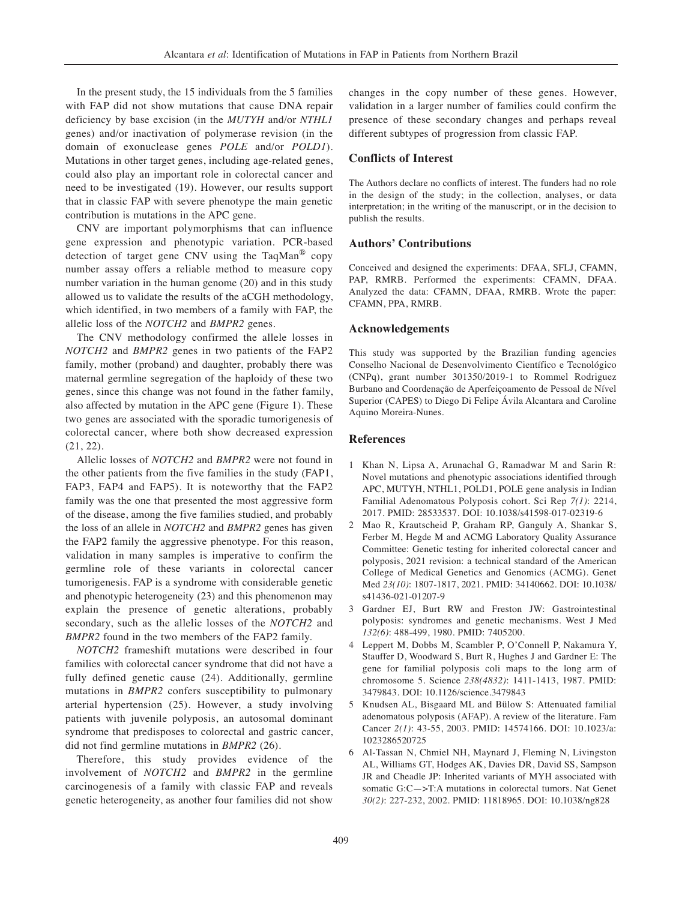In the present study, the 15 individuals from the 5 families with FAP did not show mutations that cause DNA repair deficiency by base excision (in the *MUTYH* and/or *NTHL1* genes) and/or inactivation of polymerase revision (in the domain of exonuclease genes *POLE* and/or *POLD1*). Mutations in other target genes, including age-related genes, could also play an important role in colorectal cancer and need to be investigated (19). However, our results support that in classic FAP with severe phenotype the main genetic contribution is mutations in the APC gene.

CNV are important polymorphisms that can influence gene expression and phenotypic variation. PCR-based detection of target gene CNV using the TaqMan® copy number assay offers a reliable method to measure copy number variation in the human genome (20) and in this study allowed us to validate the results of the aCGH methodology, which identified, in two members of a family with FAP, the allelic loss of the *NOTCH2* and *BMPR2* genes.

The CNV methodology confirmed the allele losses in *NOTCH2* and *BMPR2* genes in two patients of the FAP2 family, mother (proband) and daughter, probably there was maternal germline segregation of the haploidy of these two genes, since this change was not found in the father family, also affected by mutation in the APC gene (Figure 1). These two genes are associated with the sporadic tumorigenesis of colorectal cancer, where both show decreased expression (21, 22).

Allelic losses of *NOTCH2* and *BMPR2* were not found in the other patients from the five families in the study (FAP1, FAP3, FAP4 and FAP5). It is noteworthy that the FAP2 family was the one that presented the most aggressive form of the disease, among the five families studied, and probably the loss of an allele in *NOTCH2* and *BMPR2* genes has given the FAP2 family the aggressive phenotype. For this reason, validation in many samples is imperative to confirm the germline role of these variants in colorectal cancer tumorigenesis. FAP is a syndrome with considerable genetic and phenotypic heterogeneity (23) and this phenomenon may explain the presence of genetic alterations, probably secondary, such as the allelic losses of the *NOTCH2* and *BMPR2* found in the two members of the FAP2 family.

*NOTCH2* frameshift mutations were described in four families with colorectal cancer syndrome that did not have a fully defined genetic cause (24). Additionally, germline mutations in *BMPR2* confers susceptibility to pulmonary arterial hypertension (25). However, a study involving patients with juvenile polyposis, an autosomal dominant syndrome that predisposes to colorectal and gastric cancer, did not find germline mutations in *BMPR2* (26).

Therefore, this study provides evidence of the involvement of *NOTCH2* and *BMPR2* in the germline carcinogenesis of a family with classic FAP and reveals genetic heterogeneity, as another four families did not show changes in the copy number of these genes. However, validation in a larger number of families could confirm the presence of these secondary changes and perhaps reveal different subtypes of progression from classic FAP.

### **Conflicts of Interest**

The Authors declare no conflicts of interest. The funders had no role in the design of the study; in the collection, analyses, or data interpretation; in the writing of the manuscript, or in the decision to publish the results.

# **Authors' Contributions**

Conceived and designed the experiments: DFAA, SFLJ, CFAMN, PAP, RMRB. Performed the experiments: CFAMN, DFAA. Analyzed the data: CFAMN, DFAA, RMRB. Wrote the paper: CFAMN, PPA, RMRB.

#### **Acknowledgements**

This study was supported by the Brazilian funding agencies Conselho Nacional de Desenvolvimento Científico e Tecnológico (CNPq), grant number 301350/2019-1 to Rommel Rodriguez Burbano and Coordenação de Aperfeiçoamento de Pessoal de Nível Superior (CAPES) to Diego Di Felipe Ávila Alcantara and Caroline Aquino Moreira-Nunes.

# **References**

- 1 Khan N, Lipsa A, Arunachal G, Ramadwar M and Sarin R: Novel mutations and phenotypic associations identified through APC, MUTYH, NTHL1, POLD1, POLE gene analysis in Indian Familial Adenomatous Polyposis cohort. Sci Rep *7(1)*: 2214, 2017. PMID: 28533537. DOI: 10.1038/s41598-017-02319-6
- 2 Mao R, Krautscheid P, Graham RP, Ganguly A, Shankar S, Ferber M, Hegde M and ACMG Laboratory Quality Assurance Committee: Genetic testing for inherited colorectal cancer and polyposis, 2021 revision: a technical standard of the American College of Medical Genetics and Genomics (ACMG). Genet Med *23(10)*: 1807-1817, 2021. PMID: 34140662. DOI: 10.1038/ s41436-021-01207-9
- 3 Gardner EJ, Burt RW and Freston JW: Gastrointestinal polyposis: syndromes and genetic mechanisms. West J Med *132(6)*: 488-499, 1980. PMID: 7405200.
- 4 Leppert M, Dobbs M, Scambler P, O'Connell P, Nakamura Y, Stauffer D, Woodward S, Burt R, Hughes J and Gardner E: The gene for familial polyposis coli maps to the long arm of chromosome 5. Science *238(4832)*: 1411-1413, 1987. PMID: 3479843. DOI: 10.1126/science.3479843
- 5 Knudsen AL, Bisgaard ML and Bülow S: Attenuated familial adenomatous polyposis (AFAP). A review of the literature. Fam Cancer *2(1)*: 43-55, 2003. PMID: 14574166. DOI: 10.1023/a: 1023286520725
- 6 Al-Tassan N, Chmiel NH, Maynard J, Fleming N, Livingston AL, Williams GT, Hodges AK, Davies DR, David SS, Sampson JR and Cheadle JP: Inherited variants of MYH associated with somatic G:C—>T:A mutations in colorectal tumors. Nat Genet *30(2)*: 227-232, 2002. PMID: 11818965. DOI: 10.1038/ng828